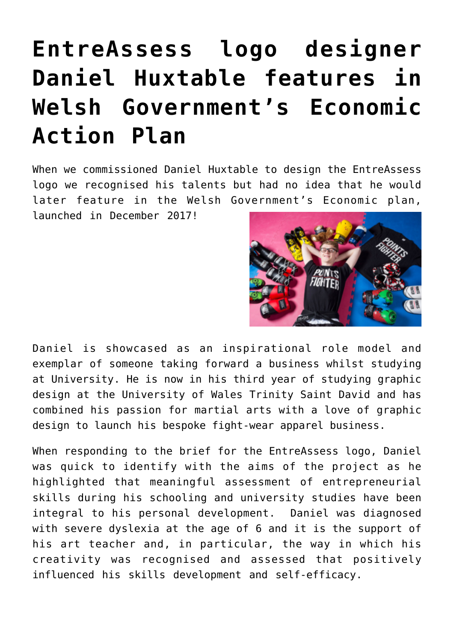## **[EntreAssess logo designer](http://entreassess.com/2018/01/11/entreassess-logo-designer-daniel-huxtable-features-in-welsh-governments-economic-action-plan/) [Daniel Huxtable features in](http://entreassess.com/2018/01/11/entreassess-logo-designer-daniel-huxtable-features-in-welsh-governments-economic-action-plan/) [Welsh Government's Economic](http://entreassess.com/2018/01/11/entreassess-logo-designer-daniel-huxtable-features-in-welsh-governments-economic-action-plan/) [Action Plan](http://entreassess.com/2018/01/11/entreassess-logo-designer-daniel-huxtable-features-in-welsh-governments-economic-action-plan/)**

When we commissioned Daniel Huxtable to design the EntreAssess logo we recognised his talents but had no idea that he would later feature in the Welsh Government's Economic plan, launched in December 2017!



Daniel is showcased as an inspirational role model and exemplar of someone taking forward a business whilst studying at University. He is now in his third year of studying graphic design at the University of Wales Trinity Saint David and has combined his passion for martial arts with a love of graphic design to launch his bespoke fight-wear apparel business.

When responding to the brief for the EntreAssess logo, Daniel was quick to identify with the aims of the project as he highlighted that meaningful assessment of entrepreneurial skills during his schooling and university studies have been integral to his personal development. Daniel was diagnosed with severe dyslexia at the age of 6 and it is the support of his art teacher and, in particular, the way in which his creativity was recognised and assessed that positively influenced his skills development and self-efficacy.